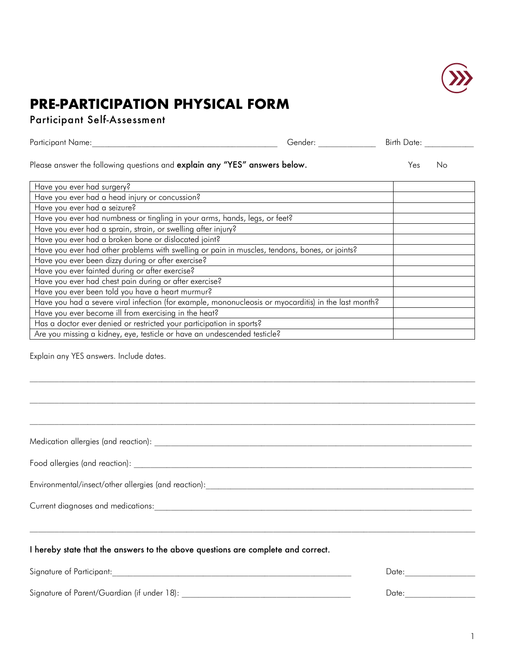

## **PRE-PARTICIPATION PHYSICAL FORM**

Participant Self-Assessment

| Participant Name:                                                                                    | Gender: | Birth Date: |
|------------------------------------------------------------------------------------------------------|---------|-------------|
| Please answer the following questions and explain any "YES" answers below.                           |         | Yes<br>No   |
| Have you ever had surgery?                                                                           |         |             |
| Have you ever had a head injury or concussion?                                                       |         |             |
| Have you ever had a seizure?                                                                         |         |             |
| Have you ever had numbness or tingling in your arms, hands, legs, or feet?                           |         |             |
| Have you ever had a sprain, strain, or swelling after injury?                                        |         |             |
| Have you ever had a broken bone or dislocated joint?                                                 |         |             |
| Have you ever had other problems with swelling or pain in muscles, tendons, bones, or joints?        |         |             |
| Have you ever been dizzy during or after exercise?                                                   |         |             |
| Have you ever fainted during or after exercise?                                                      |         |             |
| Have you ever had chest pain during or after exercise?                                               |         |             |
| Have you ever been told you have a heart murmur?                                                     |         |             |
| Have you had a severe viral infection (for example, mononucleosis or myocarditis) in the last month? |         |             |
| Have you ever become ill from exercising in the heat?                                                |         |             |
| Has a doctor ever denied or restricted your participation in sports?                                 |         |             |
| Are you missing a kidney, eye, testicle or have an undescended testicle?                             |         |             |

 $\mathcal{L}_\text{max} = \frac{1}{2} \sum_{i=1}^n \mathcal{L}_\text{max} = \frac{1}{2} \sum_{i=1}^n \mathcal{L}_\text{max} = \frac{1}{2} \sum_{i=1}^n \mathcal{L}_\text{max} = \frac{1}{2} \sum_{i=1}^n \mathcal{L}_\text{max} = \frac{1}{2} \sum_{i=1}^n \mathcal{L}_\text{max} = \frac{1}{2} \sum_{i=1}^n \mathcal{L}_\text{max} = \frac{1}{2} \sum_{i=1}^n \mathcal{L}_\text{max} = \frac{1}{2} \sum_{i=$ 

 $\mathcal{L}_\text{max} = \frac{1}{2} \sum_{i=1}^n \mathcal{L}_\text{max} = \frac{1}{2} \sum_{i=1}^n \mathcal{L}_\text{max} = \frac{1}{2} \sum_{i=1}^n \mathcal{L}_\text{max} = \frac{1}{2} \sum_{i=1}^n \mathcal{L}_\text{max} = \frac{1}{2} \sum_{i=1}^n \mathcal{L}_\text{max} = \frac{1}{2} \sum_{i=1}^n \mathcal{L}_\text{max} = \frac{1}{2} \sum_{i=1}^n \mathcal{L}_\text{max} = \frac{1}{2} \sum_{i=$ 

Explain any YES answers. Include dates.

Medication allergies (and reaction): \_\_\_\_\_\_\_\_\_\_\_\_\_\_\_\_\_\_\_\_\_\_\_\_\_\_\_\_\_\_\_\_\_\_\_\_\_\_\_\_\_\_\_\_\_\_\_\_\_\_\_\_\_\_\_\_\_\_\_\_\_\_\_\_\_\_\_\_\_\_\_\_\_\_\_\_\_

Food allergies (and reaction): \_\_\_\_\_\_\_\_\_\_\_\_\_\_\_\_\_\_\_\_\_\_\_\_\_\_\_\_\_\_\_\_\_\_\_\_\_\_\_\_\_\_\_\_\_\_\_\_\_\_\_\_\_\_\_\_\_\_\_\_\_\_\_\_\_\_\_\_\_\_\_\_\_\_\_\_\_\_\_\_\_\_

Environmental/insect/other allergies (and reaction):\_\_\_\_\_\_\_\_\_\_\_\_\_\_\_\_\_\_\_\_\_\_\_\_\_\_\_\_\_\_\_\_\_\_\_\_\_\_\_\_\_\_\_\_\_\_\_\_\_\_\_\_\_\_\_\_\_\_\_\_\_\_\_\_\_

Current diagnoses and medications:\_\_\_\_\_\_\_\_\_\_\_\_\_\_\_\_\_\_\_\_\_\_\_\_\_\_\_\_\_\_\_\_\_\_\_\_\_\_\_\_\_\_\_\_\_\_\_\_\_\_\_\_\_\_\_\_\_\_\_\_\_\_\_\_\_\_\_\_\_\_\_\_\_\_\_\_\_

## I hereby state that the answers to the above questions are complete and correct.

Signature of Participant:\_\_\_\_\_\_\_\_\_\_\_\_\_\_\_\_\_\_\_\_\_\_\_\_\_\_\_\_\_\_\_\_\_\_\_\_\_\_\_\_\_\_\_\_\_\_\_\_\_\_\_\_\_\_\_\_\_\_ Date:\_\_\_\_\_\_\_\_\_\_\_\_\_\_\_\_\_

Signature of Parent/Guardian (if under 18): \_\_\_\_\_\_\_\_\_\_\_\_\_\_\_\_\_\_\_\_\_\_\_\_\_\_\_\_\_\_\_\_\_\_\_\_\_\_\_\_\_ Date:\_\_\_\_\_\_\_\_\_\_\_\_\_\_\_\_\_